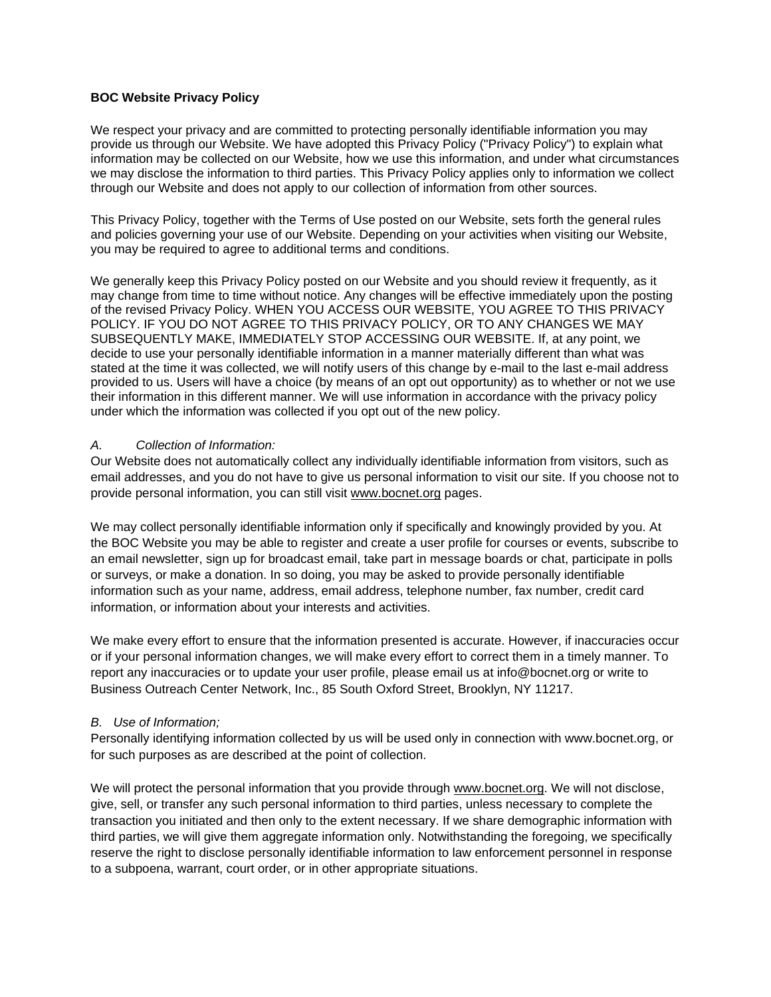## **BOC Website Privacy Policy**

We respect your privacy and are committed to protecting personally identifiable information you may provide us through our Website. We have adopted this Privacy Policy ("Privacy Policy") to explain what information may be collected on our Website, how we use this information, and under what circumstances we may disclose the information to third parties. This Privacy Policy applies only to information we collect through our Website and does not apply to our collection of information from other sources.

This Privacy Policy, together with the Terms of Use posted on our Website, sets forth the general rules and policies governing your use of our Website. Depending on your activities when visiting our Website, you may be required to agree to additional terms and conditions.

We generally keep this Privacy Policy posted on our Website and you should review it frequently, as it may change from time to time without notice. Any changes will be effective immediately upon the posting of the revised Privacy Policy. WHEN YOU ACCESS OUR WEBSITE, YOU AGREE TO THIS PRIVACY POLICY. IF YOU DO NOT AGREE TO THIS PRIVACY POLICY, OR TO ANY CHANGES WE MAY SUBSEQUENTLY MAKE, IMMEDIATELY STOP ACCESSING OUR WEBSITE. If, at any point, we decide to use your personally identifiable information in a manner materially different than what was stated at the time it was collected, we will notify users of this change by e-mail to the last e-mail address provided to us. Users will have a choice (by means of an opt out opportunity) as to whether or not we use their information in this different manner. We will use information in accordance with the privacy policy under which the information was collected if you opt out of the new policy.

## *A. Collection of Information:*

Our Website does not automatically collect any individually identifiable information from visitors, such as email addresses, and you do not have to give us personal information to visit our site. If you choose not to provide personal information, you can still visit www.bocnet.org pages.

We may collect personally identifiable information only if specifically and knowingly provided by you. At the BOC Website you may be able to register and create a user profile for courses or events, subscribe to an email newsletter, sign up for broadcast email, take part in message boards or chat, participate in polls or surveys, or make a donation. In so doing, you may be asked to provide personally identifiable information such as your name, address, email address, telephone number, fax number, credit card information, or information about your interests and activities.

We make every effort to ensure that the information presented is accurate. However, if inaccuracies occur or if your personal information changes, we will make every effort to correct them in a timely manner. To report any inaccuracies or to update your user profile, please email us at info@bocnet.org or write to Business Outreach Center Network, Inc., 85 South Oxford Street, Brooklyn, NY 11217.

# *B. Use of Information;*

Personally identifying information collected by us will be used only in connection with www.bocnet.org, or for such purposes as are described at the point of collection.

We will protect the personal information that you provide through www.bocnet.org. We will not disclose, give, sell, or transfer any such personal information to third parties, unless necessary to complete the transaction you initiated and then only to the extent necessary. If we share demographic information with third parties, we will give them aggregate information only. Notwithstanding the foregoing, we specifically reserve the right to disclose personally identifiable information to law enforcement personnel in response to a subpoena, warrant, court order, or in other appropriate situations.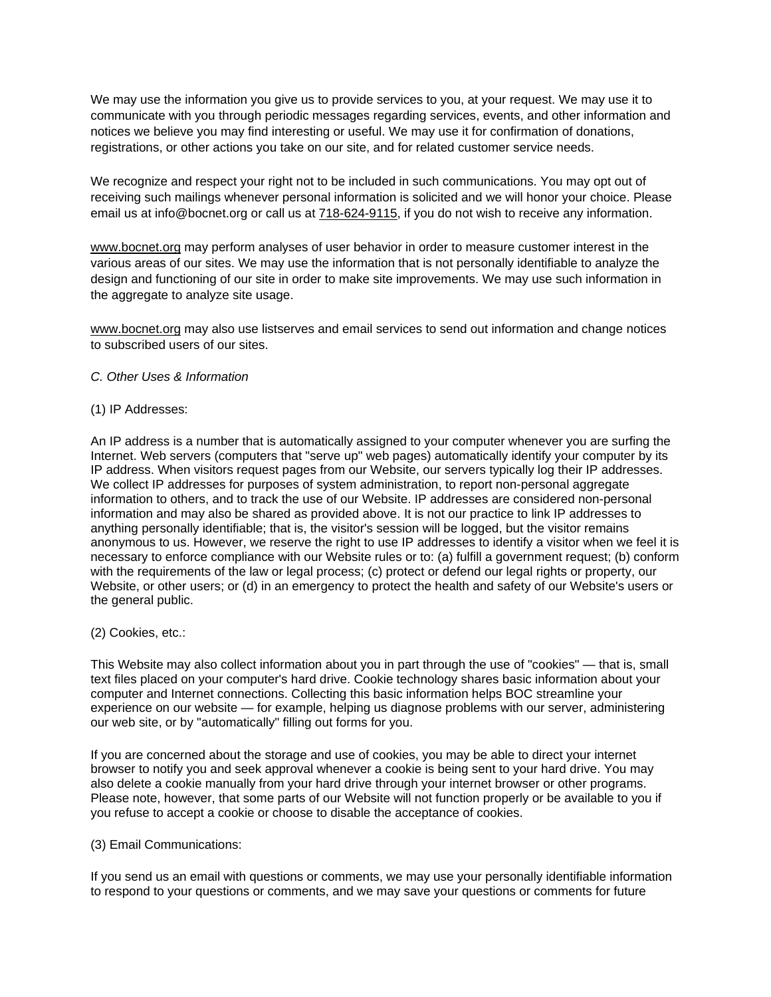We may use the information you give us to provide services to you, at your request. We may use it to communicate with you through periodic messages regarding services, events, and other information and notices we believe you may find interesting or useful. We may use it for confirmation of donations, registrations, or other actions you take on our site, and for related customer service needs.

We recognize and respect your right not to be included in such communications. You may opt out of receiving such mailings whenever personal information is solicited and we will honor your choice. Please email us at info@bocnet.org or call us at 718-624-9115, if you do not wish to receive any information.

www.bocnet.org may perform analyses of user behavior in order to measure customer interest in the various areas of our sites. We may use the information that is not personally identifiable to analyze the design and functioning of our site in order to make site improvements. We may use such information in the aggregate to analyze site usage.

www.bocnet.org may also use listserves and email services to send out information and change notices to subscribed users of our sites.

## *C. Other Uses & Information*

## (1) IP Addresses:

An IP address is a number that is automatically assigned to your computer whenever you are surfing the Internet. Web servers (computers that "serve up" web pages) automatically identify your computer by its IP address. When visitors request pages from our Website, our servers typically log their IP addresses. We collect IP addresses for purposes of system administration, to report non-personal aggregate information to others, and to track the use of our Website. IP addresses are considered non-personal information and may also be shared as provided above. It is not our practice to link IP addresses to anything personally identifiable; that is, the visitor's session will be logged, but the visitor remains anonymous to us. However, we reserve the right to use IP addresses to identify a visitor when we feel it is necessary to enforce compliance with our Website rules or to: (a) fulfill a government request; (b) conform with the requirements of the law or legal process; (c) protect or defend our legal rights or property, our Website, or other users; or (d) in an emergency to protect the health and safety of our Website's users or the general public.

## (2) Cookies, etc.:

This Website may also collect information about you in part through the use of "cookies" — that is, small text files placed on your computer's hard drive. Cookie technology shares basic information about your computer and Internet connections. Collecting this basic information helps BOC streamline your experience on our website — for example, helping us diagnose problems with our server, administering our web site, or by "automatically" filling out forms for you.

If you are concerned about the storage and use of cookies, you may be able to direct your internet browser to notify you and seek approval whenever a cookie is being sent to your hard drive. You may also delete a cookie manually from your hard drive through your internet browser or other programs. Please note, however, that some parts of our Website will not function properly or be available to you if you refuse to accept a cookie or choose to disable the acceptance of cookies.

## (3) Email Communications:

If you send us an email with questions or comments, we may use your personally identifiable information to respond to your questions or comments, and we may save your questions or comments for future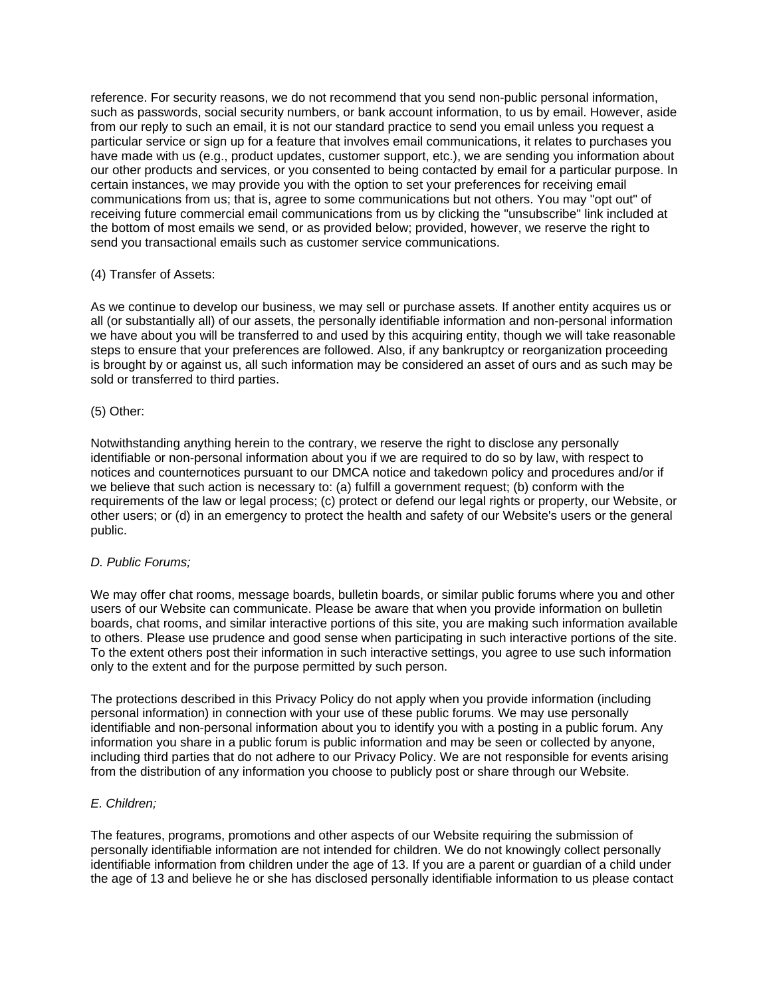reference. For security reasons, we do not recommend that you send non-public personal information, such as passwords, social security numbers, or bank account information, to us by email. However, aside from our reply to such an email, it is not our standard practice to send you email unless you request a particular service or sign up for a feature that involves email communications, it relates to purchases you have made with us (e.g., product updates, customer support, etc.), we are sending you information about our other products and services, or you consented to being contacted by email for a particular purpose. In certain instances, we may provide you with the option to set your preferences for receiving email communications from us; that is, agree to some communications but not others. You may "opt out" of receiving future commercial email communications from us by clicking the "unsubscribe" link included at the bottom of most emails we send, or as provided below; provided, however, we reserve the right to send you transactional emails such as customer service communications.

## (4) Transfer of Assets:

As we continue to develop our business, we may sell or purchase assets. If another entity acquires us or all (or substantially all) of our assets, the personally identifiable information and non-personal information we have about you will be transferred to and used by this acquiring entity, though we will take reasonable steps to ensure that your preferences are followed. Also, if any bankruptcy or reorganization proceeding is brought by or against us, all such information may be considered an asset of ours and as such may be sold or transferred to third parties.

## (5) Other:

Notwithstanding anything herein to the contrary, we reserve the right to disclose any personally identifiable or non-personal information about you if we are required to do so by law, with respect to notices and counternotices pursuant to our DMCA notice and takedown policy and procedures and/or if we believe that such action is necessary to: (a) fulfill a government request; (b) conform with the requirements of the law or legal process; (c) protect or defend our legal rights or property, our Website, or other users; or (d) in an emergency to protect the health and safety of our Website's users or the general public.

## *D. Public Forums;*

We may offer chat rooms, message boards, bulletin boards, or similar public forums where you and other users of our Website can communicate. Please be aware that when you provide information on bulletin boards, chat rooms, and similar interactive portions of this site, you are making such information available to others. Please use prudence and good sense when participating in such interactive portions of the site. To the extent others post their information in such interactive settings, you agree to use such information only to the extent and for the purpose permitted by such person.

The protections described in this Privacy Policy do not apply when you provide information (including personal information) in connection with your use of these public forums. We may use personally identifiable and non-personal information about you to identify you with a posting in a public forum. Any information you share in a public forum is public information and may be seen or collected by anyone, including third parties that do not adhere to our Privacy Policy. We are not responsible for events arising from the distribution of any information you choose to publicly post or share through our Website.

# *E. Children;*

The features, programs, promotions and other aspects of our Website requiring the submission of personally identifiable information are not intended for children. We do not knowingly collect personally identifiable information from children under the age of 13. If you are a parent or guardian of a child under the age of 13 and believe he or she has disclosed personally identifiable information to us please contact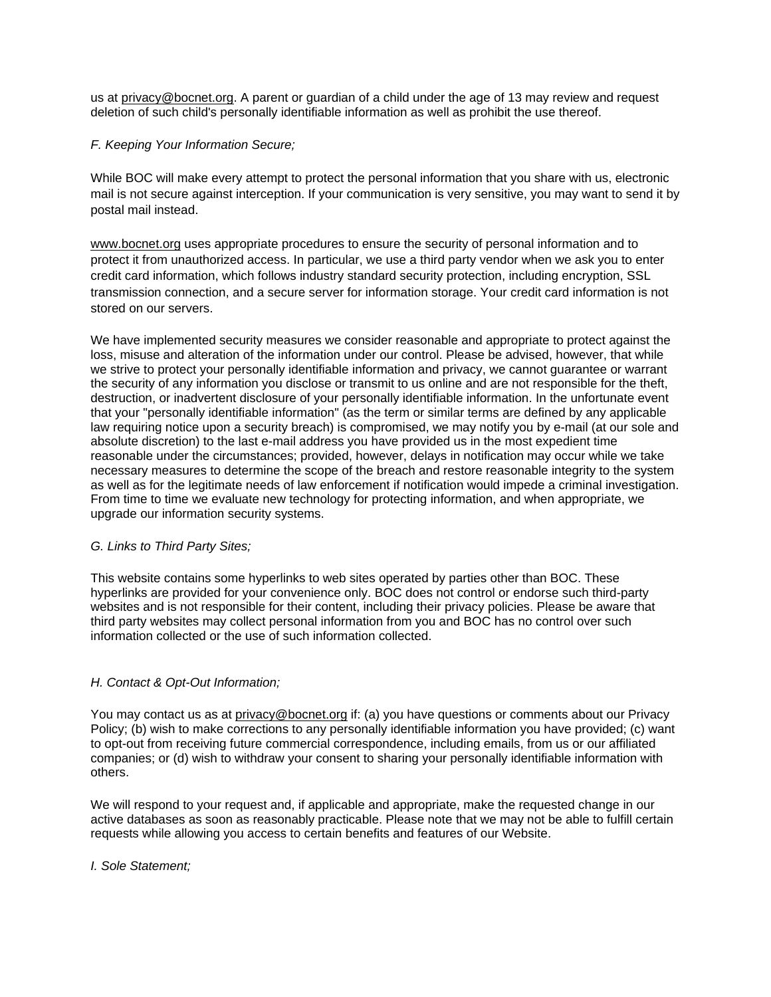us at privacy@bocnet.org. A parent or guardian of a child under the age of 13 may review and request deletion of such child's personally identifiable information as well as prohibit the use thereof.

# *F. Keeping Your Information Secure;*

While BOC will make every attempt to protect the personal information that you share with us, electronic mail is not secure against interception. If your communication is very sensitive, you may want to send it by postal mail instead.

www.bocnet.org uses appropriate procedures to ensure the security of personal information and to protect it from unauthorized access. In particular, we use a third party vendor when we ask you to enter credit card information, which follows industry standard security protection, including encryption, SSL transmission connection, and a secure server for information storage. Your credit card information is not stored on our servers.

We have implemented security measures we consider reasonable and appropriate to protect against the loss, misuse and alteration of the information under our control. Please be advised, however, that while we strive to protect your personally identifiable information and privacy, we cannot guarantee or warrant the security of any information you disclose or transmit to us online and are not responsible for the theft, destruction, or inadvertent disclosure of your personally identifiable information. In the unfortunate event that your "personally identifiable information" (as the term or similar terms are defined by any applicable law requiring notice upon a security breach) is compromised, we may notify you by e-mail (at our sole and absolute discretion) to the last e-mail address you have provided us in the most expedient time reasonable under the circumstances; provided, however, delays in notification may occur while we take necessary measures to determine the scope of the breach and restore reasonable integrity to the system as well as for the legitimate needs of law enforcement if notification would impede a criminal investigation. From time to time we evaluate new technology for protecting information, and when appropriate, we upgrade our information security systems.

# *G. Links to Third Party Sites;*

This website contains some hyperlinks to web sites operated by parties other than BOC. These hyperlinks are provided for your convenience only. BOC does not control or endorse such third-party websites and is not responsible for their content, including their privacy policies. Please be aware that third party websites may collect personal information from you and BOC has no control over such information collected or the use of such information collected.

# *H. Contact & Opt-Out Information;*

You may contact us as at privacy@bocnet.org if: (a) you have questions or comments about our Privacy Policy; (b) wish to make corrections to any personally identifiable information you have provided; (c) want to opt-out from receiving future commercial correspondence, including emails, from us or our affiliated companies; or (d) wish to withdraw your consent to sharing your personally identifiable information with others.

We will respond to your request and, if applicable and appropriate, make the requested change in our active databases as soon as reasonably practicable. Please note that we may not be able to fulfill certain requests while allowing you access to certain benefits and features of our Website.

# *I. Sole Statement;*